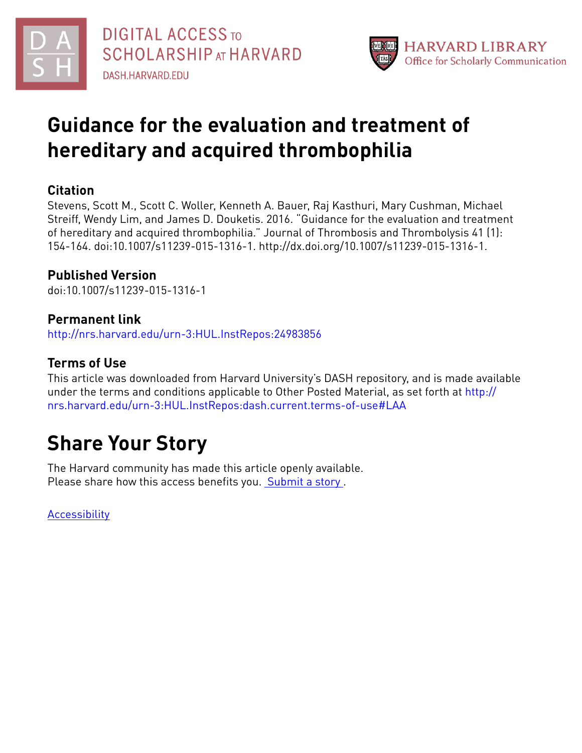



# **Guidance for the evaluation and treatment of hereditary and acquired thrombophilia**

# **Citation**

Stevens, Scott M., Scott C. Woller, Kenneth A. Bauer, Raj Kasthuri, Mary Cushman, Michael Streiff, Wendy Lim, and James D. Douketis. 2016. "Guidance for the evaluation and treatment of hereditary and acquired thrombophilia." Journal of Thrombosis and Thrombolysis 41 (1): 154-164. doi:10.1007/s11239-015-1316-1. http://dx.doi.org/10.1007/s11239-015-1316-1.

# **Published Version**

doi:10.1007/s11239-015-1316-1

# **Permanent link**

<http://nrs.harvard.edu/urn-3:HUL.InstRepos:24983856>

# **Terms of Use**

This article was downloaded from Harvard University's DASH repository, and is made available under the terms and conditions applicable to Other Posted Material, as set forth at [http://](http://nrs.harvard.edu/urn-3:HUL.InstRepos:dash.current.terms-of-use#LAA) [nrs.harvard.edu/urn-3:HUL.InstRepos:dash.current.terms-of-use#LAA](http://nrs.harvard.edu/urn-3:HUL.InstRepos:dash.current.terms-of-use#LAA)

# **Share Your Story**

The Harvard community has made this article openly available. Please share how this access benefits you. [Submit](http://osc.hul.harvard.edu/dash/open-access-feedback?handle=&title=Guidance%20for%20the%20evaluation%20and%20treatment%20of%20hereditary%20and%20acquired%20thrombophilia&community=1/4454685&collection=1/4454686&owningCollection1/4454686&harvardAuthors=0719b15bb594f808f774b6b7dd5c74a0&department) a story .

[Accessibility](https://dash.harvard.edu/pages/accessibility)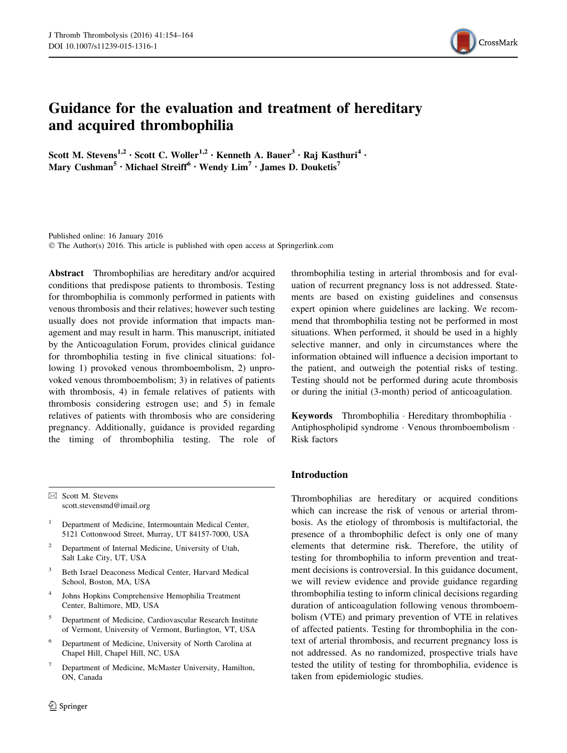

# Guidance for the evaluation and treatment of hereditary and acquired thrombophilia

Scott M. Stevens<sup>1,2</sup> · Scott C. Woller<sup>1,2</sup> · Kenneth A. Bauer<sup>3</sup> · Raj Kasthuri<sup>4</sup> · Mary Cushman<sup>5</sup> • Michael Streiff<sup>6</sup> • Wendy  $\text{Lim}^7$  • James D. Douketis<sup>7</sup>

Published online: 16 January 2016 © The Author(s) 2016. This article is published with open access at Springerlink.com

Abstract Thrombophilias are hereditary and/or acquired conditions that predispose patients to thrombosis. Testing for thrombophilia is commonly performed in patients with venous thrombosis and their relatives; however such testing usually does not provide information that impacts management and may result in harm. This manuscript, initiated by the Anticoagulation Forum, provides clinical guidance for thrombophilia testing in five clinical situations: following 1) provoked venous thromboembolism, 2) unprovoked venous thromboembolism; 3) in relatives of patients with thrombosis, 4) in female relatives of patients with thrombosis considering estrogen use; and 5) in female relatives of patients with thrombosis who are considering pregnancy. Additionally, guidance is provided regarding the timing of thrombophilia testing. The role of

 $\boxtimes$  Scott M. Stevens scott.stevensmd@imail.org

- <sup>1</sup> Department of Medicine, Intermountain Medical Center, 5121 Cottonwood Street, Murray, UT 84157-7000, USA
- <sup>2</sup> Department of Internal Medicine, University of Utah, Salt Lake City, UT, USA
- <sup>3</sup> Beth Israel Deaconess Medical Center, Harvard Medical School, Boston, MA, USA
- <sup>4</sup> Johns Hopkins Comprehensive Hemophilia Treatment Center, Baltimore, MD, USA
- <sup>5</sup> Department of Medicine, Cardiovascular Research Institute of Vermont, University of Vermont, Burlington, VT, USA
- <sup>6</sup> Department of Medicine, University of North Carolina at Chapel Hill, Chapel Hill, NC, USA
- Department of Medicine, McMaster University, Hamilton, ON, Canada

thrombophilia testing in arterial thrombosis and for evaluation of recurrent pregnancy loss is not addressed. Statements are based on existing guidelines and consensus expert opinion where guidelines are lacking. We recommend that thrombophilia testing not be performed in most situations. When performed, it should be used in a highly selective manner, and only in circumstances where the information obtained will influence a decision important to the patient, and outweigh the potential risks of testing. Testing should not be performed during acute thrombosis or during the initial (3-month) period of anticoagulation.

Keywords Thrombophilia · Hereditary thrombophilia · Antiphospholipid syndrome - Venous thromboembolism - Risk factors

## Introduction

Thrombophilias are hereditary or acquired conditions which can increase the risk of venous or arterial thrombosis. As the etiology of thrombosis is multifactorial, the presence of a thrombophilic defect is only one of many elements that determine risk. Therefore, the utility of testing for thrombophilia to inform prevention and treatment decisions is controversial. In this guidance document, we will review evidence and provide guidance regarding thrombophilia testing to inform clinical decisions regarding duration of anticoagulation following venous thromboembolism (VTE) and primary prevention of VTE in relatives of affected patients. Testing for thrombophilia in the context of arterial thrombosis, and recurrent pregnancy loss is not addressed. As no randomized, prospective trials have tested the utility of testing for thrombophilia, evidence is taken from epidemiologic studies.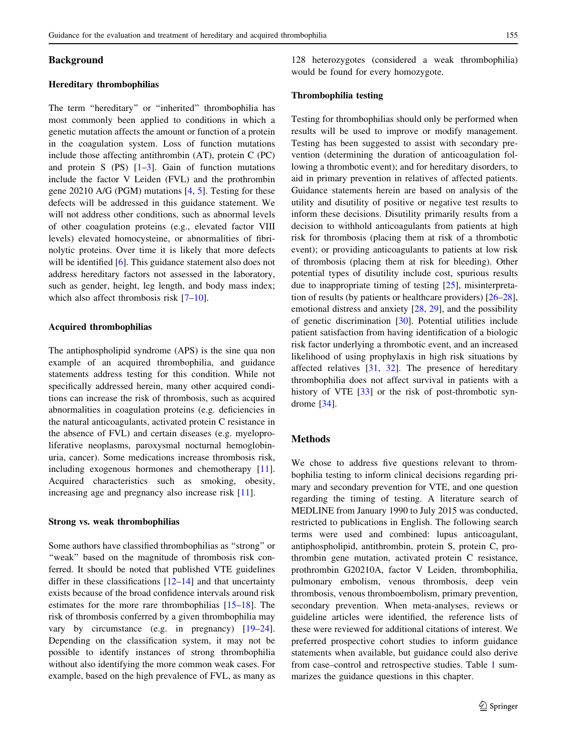## Background

#### Hereditary thrombophilias

The term ''hereditary'' or ''inherited'' thrombophilia has most commonly been applied to conditions in which a genetic mutation affects the amount or function of a protein in the coagulation system. Loss of function mutations include those affecting antithrombin (AT), protein C (PC) and protein S  $(PS)$   $[1-3]$ . Gain of function mutations include the factor V Leiden (FVL) and the prothrombin gene 20210 A/G (PGM) mutations [\[4](#page-9-0), [5\]](#page-9-0). Testing for these defects will be addressed in this guidance statement. We will not address other conditions, such as abnormal levels of other coagulation proteins (e.g., elevated factor VIII levels) elevated homocysteine, or abnormalities of fibrinolytic proteins. Over time it is likely that more defects will be identified [\[6](#page-9-0)]. This guidance statement also does not address hereditary factors not assessed in the laboratory, such as gender, height, leg length, and body mass index; which also affect thrombosis risk [[7–10\]](#page-9-0).

## Acquired thrombophilias

The antiphospholipid syndrome (APS) is the sine qua non example of an acquired thrombophilia, and guidance statements address testing for this condition. While not specifically addressed herein, many other acquired conditions can increase the risk of thrombosis, such as acquired abnormalities in coagulation proteins (e.g. deficiencies in the natural anticoagulants, activated protein C resistance in the absence of FVL) and certain diseases (e.g. myeloproliferative neoplasms, paroxysmal nocturnal hemoglobinuria, cancer). Some medications increase thrombosis risk, including exogenous hormones and chemotherapy [\[11](#page-9-0)]. Acquired characteristics such as smoking, obesity, increasing age and pregnancy also increase risk [[11\]](#page-9-0).

#### Strong vs. weak thrombophilias

Some authors have classified thrombophilias as ''strong'' or "weak" based on the magnitude of thrombosis risk conferred. It should be noted that published VTE guidelines differ in these classifications [\[12–14](#page-9-0)] and that uncertainty exists because of the broad confidence intervals around risk estimates for the more rare thrombophilias [\[15–18](#page-9-0)]. The risk of thrombosis conferred by a given thrombophilia may vary by circumstance (e.g. in pregnancy) [\[19](#page-9-0)[–24](#page-10-0)]. Depending on the classification system, it may not be possible to identify instances of strong thrombophilia without also identifying the more common weak cases. For example, based on the high prevalence of FVL, as many as

128 heterozygotes (considered a weak thrombophilia) would be found for every homozygote.

#### Thrombophilia testing

Testing for thrombophilias should only be performed when results will be used to improve or modify management. Testing has been suggested to assist with secondary prevention (determining the duration of anticoagulation following a thrombotic event); and for hereditary disorders, to aid in primary prevention in relatives of affected patients. Guidance statements herein are based on analysis of the utility and disutility of positive or negative test results to inform these decisions. Disutility primarily results from a decision to withhold anticoagulants from patients at high risk for thrombosis (placing them at risk of a thrombotic event); or providing anticoagulants to patients at low risk of thrombosis (placing them at risk for bleeding). Other potential types of disutility include cost, spurious results due to inappropriate timing of testing [[25](#page-10-0)], misinterpretation of results (by patients or healthcare providers) [\[26–28](#page-10-0)], emotional distress and anxiety [[28,](#page-10-0) [29](#page-10-0)], and the possibility of genetic discrimination [[30\]](#page-10-0). Potential utilities include patient satisfaction from having identification of a biologic risk factor underlying a thrombotic event, and an increased likelihood of using prophylaxis in high risk situations by affected relatives [\[31](#page-10-0), [32\]](#page-10-0). The presence of hereditary thrombophilia does not affect survival in patients with a history of VTE [[33\]](#page-10-0) or the risk of post-thrombotic syndrome [\[34](#page-10-0)].

#### Methods

We chose to address five questions relevant to thrombophilia testing to inform clinical decisions regarding primary and secondary prevention for VTE, and one question regarding the timing of testing. A literature search of MEDLINE from January 1990 to July 2015 was conducted, restricted to publications in English. The following search terms were used and combined: lupus anticoagulant, antiphospholipid, antithrombin, protein S, protein C, prothrombin gene mutation, activated protein C resistance, prothrombin G20210A, factor V Leiden, thrombophilia, pulmonary embolism, venous thrombosis, deep vein thrombosis, venous thromboembolism, primary prevention, secondary prevention. When meta-analyses, reviews or guideline articles were identified, the reference lists of these were reviewed for additional citations of interest. We preferred prospective cohort studies to inform guidance statements when available, but guidance could also derive from case–control and retrospective studies. Table [1](#page-3-0) summarizes the guidance questions in this chapter.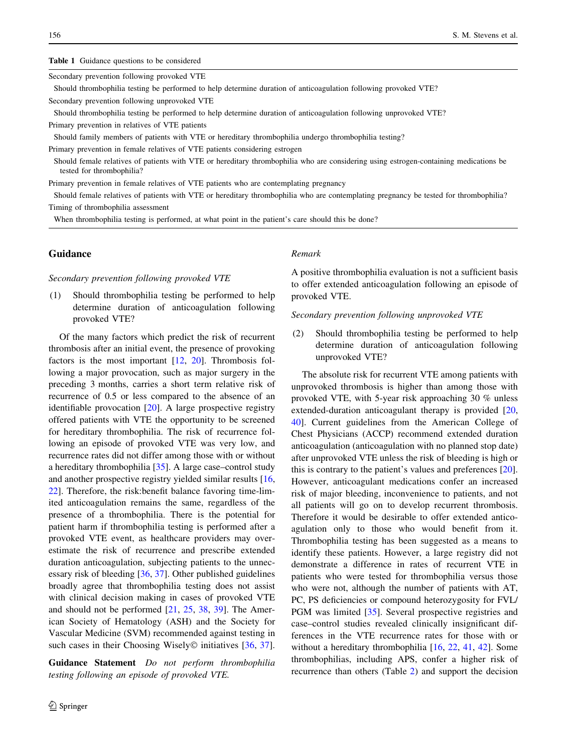#### <span id="page-3-0"></span>Table 1 Guidance questions to be considered

Secondary prevention following provoked VTE

Should thrombophilia testing be performed to help determine duration of anticoagulation following provoked VTE? Secondary prevention following unprovoked VTE

Should thrombophilia testing be performed to help determine duration of anticoagulation following unprovoked VTE?

Primary prevention in relatives of VTE patients

Should family members of patients with VTE or hereditary thrombophilia undergo thrombophilia testing?

Primary prevention in female relatives of VTE patients considering estrogen

Should female relatives of patients with VTE or hereditary thrombophilia who are considering using estrogen-containing medications be tested for thrombophilia?

Primary prevention in female relatives of VTE patients who are contemplating pregnancy

Should female relatives of patients with VTE or hereditary thrombophilia who are contemplating pregnancy be tested for thrombophilia? Timing of thrombophilia assessment

When thrombophilia testing is performed, at what point in the patient's care should this be done?

# Guidance

#### Secondary prevention following provoked VTE

(1) Should thrombophilia testing be performed to help determine duration of anticoagulation following provoked VTE?

Of the many factors which predict the risk of recurrent thrombosis after an initial event, the presence of provoking factors is the most important  $[12, 20]$  $[12, 20]$  $[12, 20]$  $[12, 20]$  $[12, 20]$ . Thrombosis following a major provocation, such as major surgery in the preceding 3 months, carries a short term relative risk of recurrence of 0.5 or less compared to the absence of an identifiable provocation [[20\]](#page-9-0). A large prospective registry offered patients with VTE the opportunity to be screened for hereditary thrombophilia. The risk of recurrence following an episode of provoked VTE was very low, and recurrence rates did not differ among those with or without a hereditary thrombophilia [[35\]](#page-10-0). A large case–control study and another prospective registry yielded similar results [[16,](#page-9-0) [22](#page-9-0)]. Therefore, the risk:benefit balance favoring time-limited anticoagulation remains the same, regardless of the presence of a thrombophilia. There is the potential for patient harm if thrombophilia testing is performed after a provoked VTE event, as healthcare providers may overestimate the risk of recurrence and prescribe extended duration anticoagulation, subjecting patients to the unnecessary risk of bleeding [[36,](#page-10-0) [37\]](#page-10-0). Other published guidelines broadly agree that thrombophilia testing does not assist with clinical decision making in cases of provoked VTE and should not be performed [[21,](#page-9-0) [25,](#page-10-0) [38,](#page-10-0) [39\]](#page-10-0). The American Society of Hematology (ASH) and the Society for Vascular Medicine (SVM) recommended against testing in such cases in their Choosing Wisely $\odot$  initiatives [\[36](#page-10-0), [37](#page-10-0)].

Guidance Statement Do not perform thrombophilia testing following an episode of provoked VTE.

#### Remark

A positive thrombophilia evaluation is not a sufficient basis to offer extended anticoagulation following an episode of provoked VTE.

#### Secondary prevention following unprovoked VTE

(2) Should thrombophilia testing be performed to help determine duration of anticoagulation following unprovoked VTE?

The absolute risk for recurrent VTE among patients with unprovoked thrombosis is higher than among those with provoked VTE, with 5-year risk approaching 30 % unless extended-duration anticoagulant therapy is provided [[20,](#page-9-0) [40](#page-10-0)]. Current guidelines from the American College of Chest Physicians (ACCP) recommend extended duration anticoagulation (anticoagulation with no planned stop date) after unprovoked VTE unless the risk of bleeding is high or this is contrary to the patient's values and preferences [\[20](#page-9-0)]. However, anticoagulant medications confer an increased risk of major bleeding, inconvenience to patients, and not all patients will go on to develop recurrent thrombosis. Therefore it would be desirable to offer extended anticoagulation only to those who would benefit from it. Thrombophilia testing has been suggested as a means to identify these patients. However, a large registry did not demonstrate a difference in rates of recurrent VTE in patients who were tested for thrombophilia versus those who were not, although the number of patients with AT, PC, PS deficiencies or compound heterozygosity for FVL/ PGM was limited [\[35](#page-10-0)]. Several prospective registries and case–control studies revealed clinically insignificant differences in the VTE recurrence rates for those with or without a hereditary thrombophilia [\[16](#page-9-0), [22,](#page-9-0) [41,](#page-10-0) [42](#page-10-0)]. Some thrombophilias, including APS, confer a higher risk of recurrence than others (Table [2\)](#page-4-0) and support the decision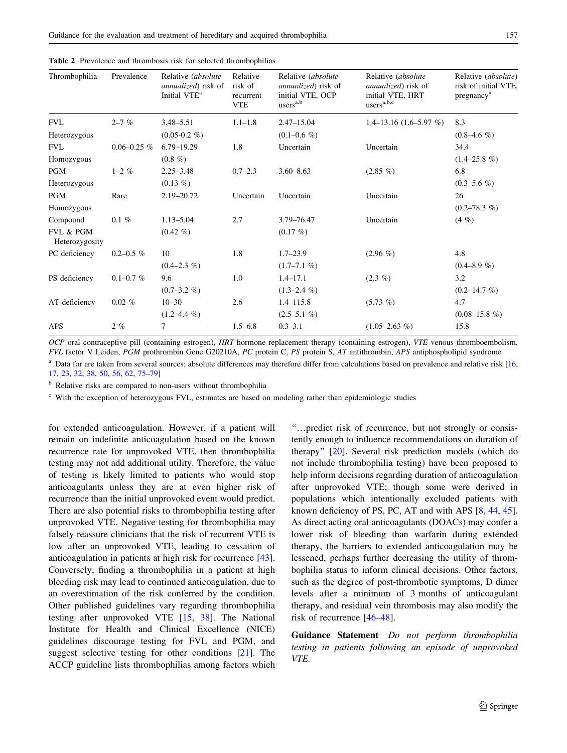| Thrombophilia               | Prevalence      | Relative (absolute<br><i>annualized</i> ) risk of<br>Initial VTE <sup>a</sup> | Relative<br>risk of<br>recurrent<br><b>VTE</b> | Relative (absolute<br><i>annualized</i> ) risk of<br>initial VTE, OCP<br>users <sup>a,b</sup> | Relative (absolute<br><i>annualized</i> ) risk of<br>initial VTE, HRT<br>$\text{users}^{\text{a},\text{b},\text{c}}$ | Relative ( <i>absolute</i> )<br>risk of initial VTE,<br>pregnancy <sup>a</sup> |
|-----------------------------|-----------------|-------------------------------------------------------------------------------|------------------------------------------------|-----------------------------------------------------------------------------------------------|----------------------------------------------------------------------------------------------------------------------|--------------------------------------------------------------------------------|
| <b>FVL</b>                  | $2 - 7\%$       | $3.48 - 5.51$                                                                 | $1.1 - 1.8$                                    | $2.47 - 15.04$                                                                                | $1.4 - 13.16$ (1.6–5.97 %)                                                                                           | 8.3                                                                            |
| Heterozygous                |                 | $(0.05-0.2 \%)$                                                               |                                                | $(0.1 - 0.6 \%)$                                                                              |                                                                                                                      | $(0.8-4.6\%)$                                                                  |
| <b>FVL</b>                  | $0.06 - 0.25$ % | $6.79 - 19.29$                                                                | 1.8                                            | Uncertain                                                                                     | Uncertain                                                                                                            | 34.4                                                                           |
| Homozygous                  |                 | $(0.8, 0\%)$                                                                  |                                                |                                                                                               |                                                                                                                      | $(1.4 - 25.8\%)$                                                               |
| <b>PGM</b>                  | $1 - 2\%$       | $2.25 - 3.48$                                                                 | $0.7 - 2.3$                                    | $3.60 - 8.63$                                                                                 | $(2.85\%)$                                                                                                           | 6.8                                                                            |
| Heterozygous                |                 | $(0.13 \%)$                                                                   |                                                |                                                                                               |                                                                                                                      | $(0.3 - 5.6\% )$                                                               |
| <b>PGM</b>                  | Rare            | 2.19-20.72                                                                    | Uncertain                                      | Uncertain                                                                                     | Uncertain                                                                                                            | 26                                                                             |
| Homozygous                  |                 |                                                                               |                                                |                                                                                               |                                                                                                                      | $(0.2 - 78.3 \%)$                                                              |
| Compound                    | $0.1 \%$        | $1.13 - 5.04$                                                                 | 2.7                                            | 3.79-76.47                                                                                    | Uncertain                                                                                                            | $(4 \%)$                                                                       |
| FVL & PGM<br>Heterozygosity |                 | $(0.42\%)$                                                                    |                                                | $(0.17 \%)$                                                                                   |                                                                                                                      |                                                                                |
| PC deficiency               | $0.2 - 0.5\%$   | 10                                                                            | 1.8                                            | $1.7 - 23.9$                                                                                  | $(2.96\%)$                                                                                                           | 4.8                                                                            |
|                             |                 | $(0.4 - 2.3\%)$                                                               |                                                | $(1.7-7.1\%)$                                                                                 |                                                                                                                      | $(0.4 - 8.9\%)$                                                                |
| PS deficiency               | $0.1 - 0.7 %$   | 9.6                                                                           | 1.0                                            | $1.4 - 17.1$                                                                                  | $(2.3\%)$                                                                                                            | 3.2                                                                            |
|                             |                 | $(0.7-3.2\% )$                                                                |                                                | $(1.3-2.4\%)$                                                                                 |                                                                                                                      | $(0.2 - 14.7 \%)$                                                              |
| AT deficiency               | $0.02\%$        | $10 - 30$                                                                     | 2.6                                            | $1.4 - 115.8$                                                                                 | $(5.73\%)$                                                                                                           | 4.7                                                                            |
|                             |                 | $(1.2 - 4.4\%)$                                                               |                                                | $(2.5-5.1\%)$                                                                                 |                                                                                                                      | $(0.08-15.8\%)$                                                                |
| APS                         | $2 \%$          | 7                                                                             | $1.5 - 6.8$                                    | $0.3 - 3.1$                                                                                   | $(1.05-2.63\%)$                                                                                                      | 15.8                                                                           |

<span id="page-4-0"></span>

|  |  |  |  |  |  |  | <b>Table 2</b> Prevalence and thrombosis risk for selected thrombophilias |
|--|--|--|--|--|--|--|---------------------------------------------------------------------------|
|--|--|--|--|--|--|--|---------------------------------------------------------------------------|

OCP oral contraceptive pill (containing estrogen), HRT hormone replacement therapy (containing estrogen), VTE venous thromboembolism, FVL factor V Leiden, PGM prothrombin Gene G20210A, PC protein C, PS protein S, AT antithrombin, APS antiphospholipid syndrome

<sup>a</sup> Data for are taken from several sources; absolute differences may therefore differ from calculations based on prevalence and relative risk [[16](#page-9-0), [17](#page-9-0), [23,](#page-10-0) [32](#page-10-0), [38,](#page-10-0) [50](#page-10-0), [56,](#page-10-0) [62,](#page-11-0) [75](#page-11-0)–[79](#page-11-0)]

<sup>b</sup> Relative risks are compared to non-users without thrombophilia

<sup>c</sup> With the exception of heterozygous FVL, estimates are based on modeling rather than epidemiologic studies

for extended anticoagulation. However, if a patient will remain on indefinite anticoagulation based on the known recurrence rate for unprovoked VTE, then thrombophilia testing may not add additional utility. Therefore, the value of testing is likely limited to patients who would stop anticoagulants unless they are at even higher risk of recurrence than the initial unprovoked event would predict. There are also potential risks to thrombophilia testing after unprovoked VTE. Negative testing for thrombophilia may falsely reassure clinicians that the risk of recurrent VTE is low after an unprovoked VTE, leading to cessation of anticoagulation in patients at high risk for recurrence [\[43](#page-10-0)]. Conversely, finding a thrombophilia in a patient at high bleeding risk may lead to continued anticoagulation, due to an overestimation of the risk conferred by the condition. Other published guidelines vary regarding thrombophilia testing after unprovoked VTE [[15,](#page-9-0) [38\]](#page-10-0). The National Institute for Health and Clinical Excellence (NICE) guidelines discourage testing for FVL and PGM, and suggest selective testing for other conditions [\[21](#page-9-0)]. The ACCP guideline lists thrombophilias among factors which

''…predict risk of recurrence, but not strongly or consistently enough to influence recommendations on duration of therapy'' [\[20](#page-9-0)]. Several risk prediction models (which do not include thrombophilia testing) have been proposed to help inform decisions regarding duration of anticoagulation after unprovoked VTE; though some were derived in populations which intentionally excluded patients with known deficiency of PS, PC, AT and with APS [[8,](#page-9-0) [44](#page-10-0), [45](#page-10-0)]. As direct acting oral anticoagulants (DOACs) may confer a lower risk of bleeding than warfarin during extended therapy, the barriers to extended anticoagulation may be lessened, perhaps further decreasing the utility of thrombophilia status to inform clinical decisions. Other factors, such as the degree of post-thrombotic symptoms, D dimer levels after a minimum of 3 months of anticoagulant therapy, and residual vein thrombosis may also modify the risk of recurrence [\[46–48\]](#page-10-0).

Guidance Statement Do not perform thrombophilia testing in patients following an episode of unprovoked VTE.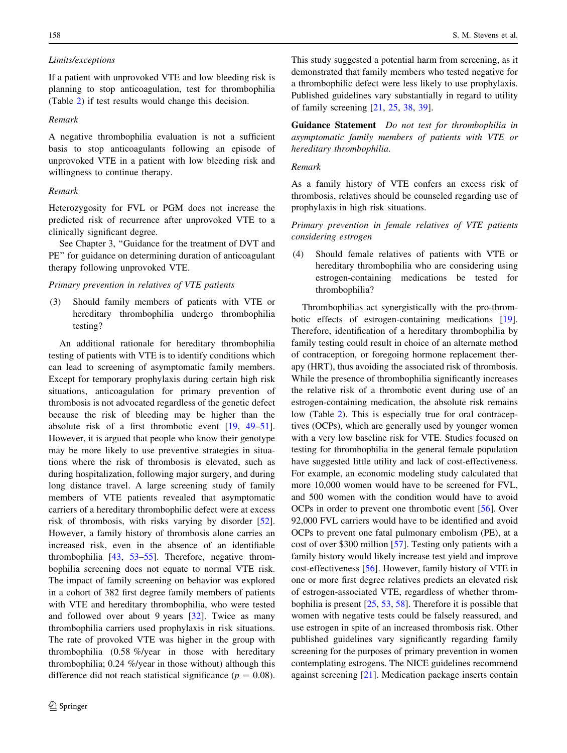## Limits/exceptions

If a patient with unprovoked VTE and low bleeding risk is planning to stop anticoagulation, test for thrombophilia (Table [2](#page-4-0)) if test results would change this decision.

#### Remark

A negative thrombophilia evaluation is not a sufficient basis to stop anticoagulants following an episode of unprovoked VTE in a patient with low bleeding risk and willingness to continue therapy.

# Remark

Heterozygosity for FVL or PGM does not increase the predicted risk of recurrence after unprovoked VTE to a clinically significant degree.

See Chapter 3, ''Guidance for the treatment of DVT and PE'' for guidance on determining duration of anticoagulant therapy following unprovoked VTE.

## Primary prevention in relatives of VTE patients

(3) Should family members of patients with VTE or hereditary thrombophilia undergo thrombophilia testing?

An additional rationale for hereditary thrombophilia testing of patients with VTE is to identify conditions which can lead to screening of asymptomatic family members. Except for temporary prophylaxis during certain high risk situations, anticoagulation for primary prevention of thrombosis is not advocated regardless of the genetic defect because the risk of bleeding may be higher than the absolute risk of a first thrombotic event [[19,](#page-9-0) [49–51](#page-10-0)]. However, it is argued that people who know their genotype may be more likely to use preventive strategies in situations where the risk of thrombosis is elevated, such as during hospitalization, following major surgery, and during long distance travel. A large screening study of family members of VTE patients revealed that asymptomatic carriers of a hereditary thrombophilic defect were at excess risk of thrombosis, with risks varying by disorder [\[52](#page-10-0)]. However, a family history of thrombosis alone carries an increased risk, even in the absence of an identifiable thrombophilia [\[43](#page-10-0), [53–55](#page-10-0)]. Therefore, negative thrombophilia screening does not equate to normal VTE risk. The impact of family screening on behavior was explored in a cohort of 382 first degree family members of patients with VTE and hereditary thrombophilia, who were tested and followed over about 9 years [\[32](#page-10-0)]. Twice as many thrombophilia carriers used prophylaxis in risk situations. The rate of provoked VTE was higher in the group with thrombophilia (0.58 %/year in those with hereditary thrombophilia; 0.24 %/year in those without) although this difference did not reach statistical significance ( $p = 0.08$ ).

This study suggested a potential harm from screening, as it demonstrated that family members who tested negative for a thrombophilic defect were less likely to use prophylaxis. Published guidelines vary substantially in regard to utility of family screening [\[21](#page-9-0), [25](#page-10-0), [38,](#page-10-0) [39\]](#page-10-0).

Guidance Statement Do not test for thrombophilia in asymptomatic family members of patients with VTE or hereditary thrombophilia.

## Remark

As a family history of VTE confers an excess risk of thrombosis, relatives should be counseled regarding use of prophylaxis in high risk situations.

Primary prevention in female relatives of VTE patients considering estrogen

(4) Should female relatives of patients with VTE or hereditary thrombophilia who are considering using estrogen-containing medications be tested for thrombophilia?

Thrombophilias act synergistically with the pro-thrombotic effects of estrogen-containing medications [\[19](#page-9-0)]. Therefore, identification of a hereditary thrombophilia by family testing could result in choice of an alternate method of contraception, or foregoing hormone replacement therapy (HRT), thus avoiding the associated risk of thrombosis. While the presence of thrombophilia significantly increases the relative risk of a thrombotic event during use of an estrogen-containing medication, the absolute risk remains low (Table [2\)](#page-4-0). This is especially true for oral contraceptives (OCPs), which are generally used by younger women with a very low baseline risk for VTE. Studies focused on testing for thrombophilia in the general female population have suggested little utility and lack of cost-effectiveness. For example, an economic modeling study calculated that more 10,000 women would have to be screened for FVL, and 500 women with the condition would have to avoid OCPs in order to prevent one thrombotic event [\[56](#page-10-0)]. Over 92,000 FVL carriers would have to be identified and avoid OCPs to prevent one fatal pulmonary embolism (PE), at a cost of over \$300 million [[57\]](#page-10-0). Testing only patients with a family history would likely increase test yield and improve cost-effectiveness [[56\]](#page-10-0). However, family history of VTE in one or more first degree relatives predicts an elevated risk of estrogen-associated VTE, regardless of whether thrombophilia is present [[25,](#page-10-0) [53,](#page-10-0) [58\]](#page-10-0). Therefore it is possible that women with negative tests could be falsely reassured, and use estrogen in spite of an increased thrombosis risk. Other published guidelines vary significantly regarding family screening for the purposes of primary prevention in women contemplating estrogens. The NICE guidelines recommend against screening [\[21](#page-9-0)]. Medication package inserts contain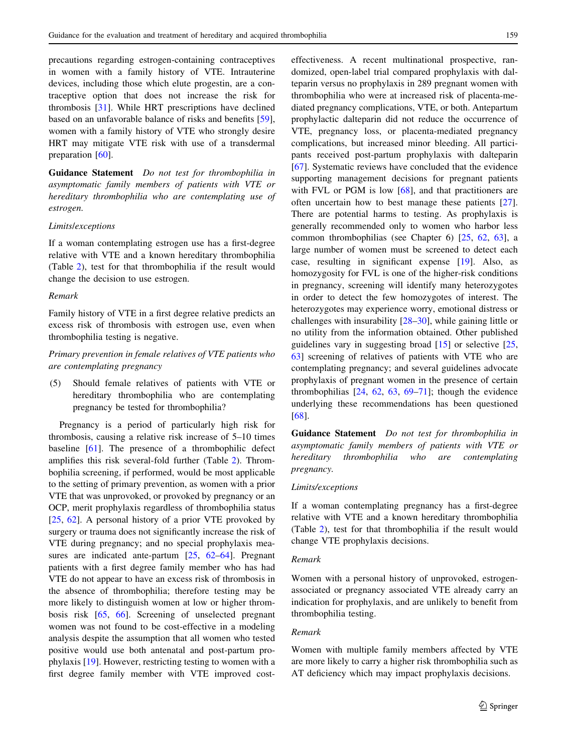precautions regarding estrogen-containing contraceptives in women with a family history of VTE. Intrauterine devices, including those which elute progestin, are a contraceptive option that does not increase the risk for thrombosis [[31\]](#page-10-0). While HRT prescriptions have declined based on an unfavorable balance of risks and benefits [\[59](#page-11-0)], women with a family history of VTE who strongly desire HRT may mitigate VTE risk with use of a transdermal preparation [\[60](#page-11-0)].

Guidance Statement Do not test for thrombophilia in asymptomatic family members of patients with VTE or hereditary thrombophilia who are contemplating use of estrogen.

#### Limits/exceptions

If a woman contemplating estrogen use has a first-degree relative with VTE and a known hereditary thrombophilia (Table [2](#page-4-0)), test for that thrombophilia if the result would change the decision to use estrogen.

#### Remark

Family history of VTE in a first degree relative predicts an excess risk of thrombosis with estrogen use, even when thrombophilia testing is negative.

Primary prevention in female relatives of VTE patients who are contemplating pregnancy

(5) Should female relatives of patients with VTE or hereditary thrombophilia who are contemplating pregnancy be tested for thrombophilia?

Pregnancy is a period of particularly high risk for thrombosis, causing a relative risk increase of 5–10 times baseline [\[61](#page-11-0)]. The presence of a thrombophilic defect amplifies this risk several-fold further (Table [2](#page-4-0)). Thrombophilia screening, if performed, would be most applicable to the setting of primary prevention, as women with a prior VTE that was unprovoked, or provoked by pregnancy or an OCP, merit prophylaxis regardless of thrombophilia status [\[25](#page-10-0), [62\]](#page-11-0). A personal history of a prior VTE provoked by surgery or trauma does not significantly increase the risk of VTE during pregnancy; and no special prophylaxis mea-sures are indicated ante-partum [[25,](#page-10-0) [62–64](#page-11-0)]. Pregnant patients with a first degree family member who has had VTE do not appear to have an excess risk of thrombosis in the absence of thrombophilia; therefore testing may be more likely to distinguish women at low or higher thrombosis risk [[65,](#page-11-0) [66\]](#page-11-0). Screening of unselected pregnant women was not found to be cost-effective in a modeling analysis despite the assumption that all women who tested positive would use both antenatal and post-partum prophylaxis [[19\]](#page-9-0). However, restricting testing to women with a first degree family member with VTE improved costeffectiveness. A recent multinational prospective, randomized, open-label trial compared prophylaxis with dalteparin versus no prophylaxis in 289 pregnant women with thrombophilia who were at increased risk of placenta-mediated pregnancy complications, VTE, or both. Antepartum prophylactic dalteparin did not reduce the occurrence of VTE, pregnancy loss, or placenta-mediated pregnancy complications, but increased minor bleeding. All participants received post-partum prophylaxis with dalteparin [\[67](#page-11-0)]. Systematic reviews have concluded that the evidence supporting management decisions for pregnant patients with FVL or PGM is low [[68\]](#page-11-0), and that practitioners are often uncertain how to best manage these patients [\[27](#page-10-0)]. There are potential harms to testing. As prophylaxis is generally recommended only to women who harbor less common thrombophilias (see Chapter 6) [[25,](#page-10-0) [62](#page-11-0), [63](#page-11-0)], a large number of women must be screened to detect each case, resulting in significant expense [[19\]](#page-9-0). Also, as homozygosity for FVL is one of the higher-risk conditions in pregnancy, screening will identify many heterozygotes in order to detect the few homozygotes of interest. The heterozygotes may experience worry, emotional distress or challenges with insurability [\[28–30](#page-10-0)], while gaining little or no utility from the information obtained. Other published guidelines vary in suggesting broad  $[15]$  $[15]$  or selective  $[25]$ , [63](#page-11-0)] screening of relatives of patients with VTE who are contemplating pregnancy; and several guidelines advocate prophylaxis of pregnant women in the presence of certain thrombophilias  $[24, 62, 63, 69-71]$  $[24, 62, 63, 69-71]$  $[24, 62, 63, 69-71]$  $[24, 62, 63, 69-71]$  $[24, 62, 63, 69-71]$  $[24, 62, 63, 69-71]$ ; though the evidence underlying these recommendations has been questioned [\[68](#page-11-0)].

Guidance Statement Do not test for thrombophilia in asymptomatic family members of patients with VTE or hereditary thrombophilia who are contemplating pregnancy.

#### Limits/exceptions

If a woman contemplating pregnancy has a first-degree relative with VTE and a known hereditary thrombophilia (Table [2\)](#page-4-0), test for that thrombophilia if the result would change VTE prophylaxis decisions.

#### Remark

Women with a personal history of unprovoked, estrogenassociated or pregnancy associated VTE already carry an indication for prophylaxis, and are unlikely to benefit from thrombophilia testing.

#### Remark

Women with multiple family members affected by VTE are more likely to carry a higher risk thrombophilia such as AT deficiency which may impact prophylaxis decisions.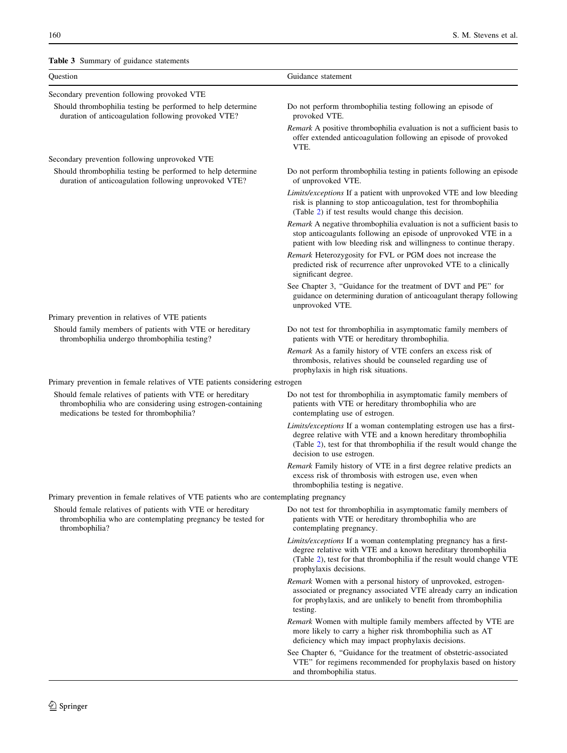# <span id="page-7-0"></span>Table 3 Summary of guidance statements

| Question                                                                                                                                                              | Guidance statement                                                                                                                                                                                                                          |  |  |  |  |
|-----------------------------------------------------------------------------------------------------------------------------------------------------------------------|---------------------------------------------------------------------------------------------------------------------------------------------------------------------------------------------------------------------------------------------|--|--|--|--|
| Secondary prevention following provoked VTE                                                                                                                           |                                                                                                                                                                                                                                             |  |  |  |  |
| Should thrombophilia testing be performed to help determine<br>duration of anticoagulation following provoked VTE?                                                    | Do not perform thrombophilia testing following an episode of<br>provoked VTE.                                                                                                                                                               |  |  |  |  |
|                                                                                                                                                                       | Remark A positive thrombophilia evaluation is not a sufficient basis to<br>offer extended anticoagulation following an episode of provoked<br>VTE.                                                                                          |  |  |  |  |
| Secondary prevention following unprovoked VTE                                                                                                                         |                                                                                                                                                                                                                                             |  |  |  |  |
| Should thrombophilia testing be performed to help determine<br>duration of anticoagulation following unprovoked VTE?                                                  | Do not perform thrombophilia testing in patients following an episode<br>of unprovoked VTE.                                                                                                                                                 |  |  |  |  |
|                                                                                                                                                                       | Limits/exceptions If a patient with unprovoked VTE and low bleeding<br>risk is planning to stop anticoagulation, test for thrombophilia<br>(Table 2) if test results would change this decision.                                            |  |  |  |  |
|                                                                                                                                                                       | Remark A negative thrombophilia evaluation is not a sufficient basis to<br>stop anticoagulants following an episode of unprovoked VTE in a<br>patient with low bleeding risk and willingness to continue therapy.                           |  |  |  |  |
|                                                                                                                                                                       | Remark Heterozygosity for FVL or PGM does not increase the<br>predicted risk of recurrence after unprovoked VTE to a clinically<br>significant degree.                                                                                      |  |  |  |  |
|                                                                                                                                                                       | See Chapter 3, "Guidance for the treatment of DVT and PE" for<br>guidance on determining duration of anticoagulant therapy following<br>unprovoked VTE.                                                                                     |  |  |  |  |
| Primary prevention in relatives of VTE patients                                                                                                                       |                                                                                                                                                                                                                                             |  |  |  |  |
| Should family members of patients with VTE or hereditary<br>thrombophilia undergo thrombophilia testing?                                                              | Do not test for thrombophilia in asymptomatic family members of<br>patients with VTE or hereditary thrombophilia.                                                                                                                           |  |  |  |  |
|                                                                                                                                                                       | Remark As a family history of VTE confers an excess risk of<br>thrombosis, relatives should be counseled regarding use of<br>prophylaxis in high risk situations.                                                                           |  |  |  |  |
| Primary prevention in female relatives of VTE patients considering estrogen                                                                                           |                                                                                                                                                                                                                                             |  |  |  |  |
| Should female relatives of patients with VTE or hereditary<br>thrombophilia who are considering using estrogen-containing<br>medications be tested for thrombophilia? | Do not test for thrombophilia in asymptomatic family members of<br>patients with VTE or hereditary thrombophilia who are<br>contemplating use of estrogen.                                                                                  |  |  |  |  |
|                                                                                                                                                                       | Limits/exceptions If a woman contemplating estrogen use has a first-<br>degree relative with VTE and a known hereditary thrombophilia<br>(Table 2), test for that thrombophilia if the result would change the<br>decision to use estrogen. |  |  |  |  |
|                                                                                                                                                                       | Remark Family history of VTE in a first degree relative predicts an<br>excess risk of thrombosis with estrogen use, even when<br>thrombophilia testing is negative.                                                                         |  |  |  |  |
| Primary prevention in female relatives of VTE patients who are contemplating pregnancy                                                                                |                                                                                                                                                                                                                                             |  |  |  |  |
| Should female relatives of patients with VTE or hereditary<br>thrombophilia who are contemplating pregnancy be tested for<br>thrombophilia?                           | Do not test for thrombophilia in asymptomatic family members of<br>patients with VTE or hereditary thrombophilia who are<br>contemplating pregnancy.                                                                                        |  |  |  |  |
|                                                                                                                                                                       | Limits/exceptions If a woman contemplating pregnancy has a first-<br>degree relative with VTE and a known hereditary thrombophilia<br>(Table 2), test for that thrombophilia if the result would change VTE<br>prophylaxis decisions.       |  |  |  |  |
|                                                                                                                                                                       | Remark Women with a personal history of unprovoked, estrogen-<br>associated or pregnancy associated VTE already carry an indication<br>for prophylaxis, and are unlikely to benefit from thrombophilia<br>testing.                          |  |  |  |  |
|                                                                                                                                                                       | <i>Remark</i> Women with multiple family members affected by VTE are<br>more likely to carry a higher risk thrombophilia such as AT<br>deficiency which may impact prophylaxis decisions.                                                   |  |  |  |  |
|                                                                                                                                                                       | See Chapter 6, "Guidance for the treatment of obstetric-associated<br>VTE" for regimens recommended for prophylaxis based on history<br>and thrombophilia status.                                                                           |  |  |  |  |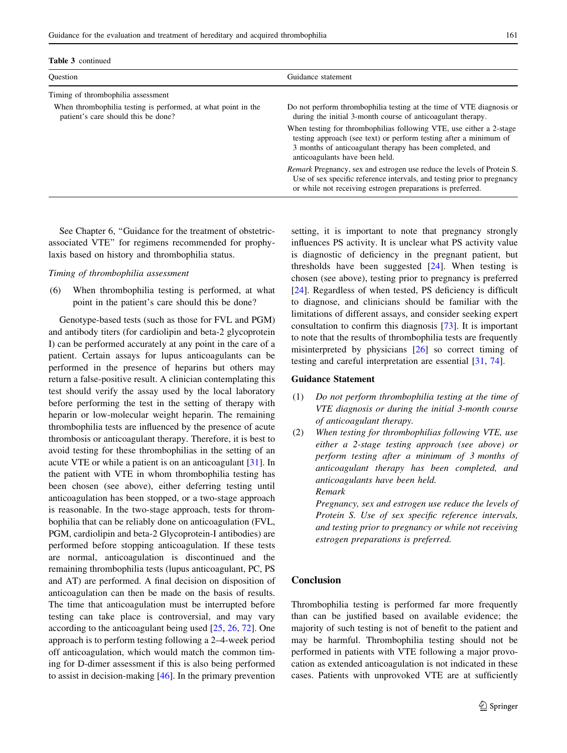| <b>Ouestion</b>                                                                                      | Guidance statement                                                                                                                                                                                                                      |  |  |  |
|------------------------------------------------------------------------------------------------------|-----------------------------------------------------------------------------------------------------------------------------------------------------------------------------------------------------------------------------------------|--|--|--|
| Timing of thrombophilia assessment                                                                   |                                                                                                                                                                                                                                         |  |  |  |
| When thrombophilia testing is performed, at what point in the<br>patient's care should this be done? | Do not perform thrombophilia testing at the time of VTE diagnosis or<br>during the initial 3-month course of anticoagulant therapy.                                                                                                     |  |  |  |
|                                                                                                      | When testing for thrombophilias following VTE, use either a 2-stage<br>testing approach (see text) or perform testing after a minimum of<br>3 months of anticoagulant therapy has been completed, and<br>anticoagulants have been held. |  |  |  |
|                                                                                                      | <i>Remark</i> Pregnancy, sex and estrogen use reduce the levels of Protein S.<br>Use of sex specific reference intervals, and testing prior to pregnancy<br>or while not receiving estrogen preparations is preferred.                  |  |  |  |

Table 3 continued

See Chapter 6, ''Guidance for the treatment of obstetricassociated VTE'' for regimens recommended for prophylaxis based on history and thrombophilia status.

#### Timing of thrombophilia assessment

(6) When thrombophilia testing is performed, at what point in the patient's care should this be done?

Genotype-based tests (such as those for FVL and PGM) and antibody titers (for cardiolipin and beta-2 glycoprotein I) can be performed accurately at any point in the care of a patient. Certain assays for lupus anticoagulants can be performed in the presence of heparins but others may return a false-positive result. A clinician contemplating this test should verify the assay used by the local laboratory before performing the test in the setting of therapy with heparin or low-molecular weight heparin. The remaining thrombophilia tests are influenced by the presence of acute thrombosis or anticoagulant therapy. Therefore, it is best to avoid testing for these thrombophilias in the setting of an acute VTE or while a patient is on an anticoagulant [[31\]](#page-10-0). In the patient with VTE in whom thrombophilia testing has been chosen (see above), either deferring testing until anticoagulation has been stopped, or a two-stage approach is reasonable. In the two-stage approach, tests for thrombophilia that can be reliably done on anticoagulation (FVL, PGM, cardiolipin and beta-2 Glycoprotein-I antibodies) are performed before stopping anticoagulation. If these tests are normal, anticoagulation is discontinued and the remaining thrombophilia tests (lupus anticoagulant, PC, PS and AT) are performed. A final decision on disposition of anticoagulation can then be made on the basis of results. The time that anticoagulation must be interrupted before testing can take place is controversial, and may vary according to the anticoagulant being used [\[25,](#page-10-0) [26](#page-10-0), [72](#page-11-0)]. One approach is to perform testing following a 2–4-week period off anticoagulation, which would match the common timing for D-dimer assessment if this is also being performed to assist in decision-making [\[46](#page-10-0)]. In the primary prevention setting, it is important to note that pregnancy strongly influences PS activity. It is unclear what PS activity value is diagnostic of deficiency in the pregnant patient, but thresholds have been suggested [[24\]](#page-10-0). When testing is chosen (see above), testing prior to pregnancy is preferred [\[24](#page-10-0)]. Regardless of when tested, PS deficiency is difficult to diagnose, and clinicians should be familiar with the limitations of different assays, and consider seeking expert consultation to confirm this diagnosis [\[73](#page-11-0)]. It is important to note that the results of thrombophilia tests are frequently misinterpreted by physicians [[26\]](#page-10-0) so correct timing of testing and careful interpretation are essential [\[31](#page-10-0), [74](#page-11-0)].

### Guidance Statement

- (1) Do not perform thrombophilia testing at the time of VTE diagnosis or during the initial 3-month course of anticoagulant therapy.
- (2) When testing for thrombophilias following VTE, use either a 2-stage testing approach (see above) or perform testing after a minimum of 3 months of anticoagulant therapy has been completed, and anticoagulants have been held. Remark

Pregnancy, sex and estrogen use reduce the levels of Protein S. Use of sex specific reference intervals, and testing prior to pregnancy or while not receiving estrogen preparations is preferred.

# Conclusion

Thrombophilia testing is performed far more frequently than can be justified based on available evidence; the majority of such testing is not of benefit to the patient and may be harmful. Thrombophilia testing should not be performed in patients with VTE following a major provocation as extended anticoagulation is not indicated in these cases. Patients with unprovoked VTE are at sufficiently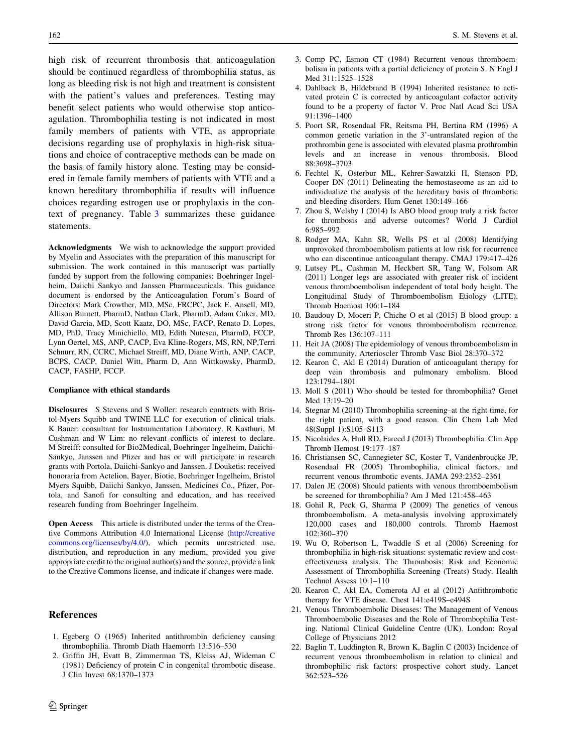<span id="page-9-0"></span>high risk of recurrent thrombosis that anticoagulation should be continued regardless of thrombophilia status, as long as bleeding risk is not high and treatment is consistent with the patient's values and preferences. Testing may benefit select patients who would otherwise stop anticoagulation. Thrombophilia testing is not indicated in most family members of patients with VTE, as appropriate decisions regarding use of prophylaxis in high-risk situations and choice of contraceptive methods can be made on the basis of family history alone. Testing may be considered in female family members of patients with VTE and a known hereditary thrombophilia if results will influence choices regarding estrogen use or prophylaxis in the context of pregnancy. Table [3](#page-7-0) summarizes these guidance statements.

Acknowledgments We wish to acknowledge the support provided by Myelin and Associates with the preparation of this manuscript for submission. The work contained in this manuscript was partially funded by support from the following companies: Boehringer Ingelheim, Daiichi Sankyo and Janssen Pharmaceuticals. This guidance document is endorsed by the Anticoagulation Forum's Board of Directors: Mark Crowther, MD, MSc, FRCPC, Jack E. Ansell, MD, Allison Burnett, PharmD, Nathan Clark, PharmD, Adam Cuker, MD, David Garcia, MD, Scott Kaatz, DO, MSc, FACP, Renato D. Lopes, MD, PhD, Tracy Minichiello, MD, Edith Nutescu, PharmD, FCCP, Lynn Oertel, MS, ANP, CACP, Eva Kline-Rogers, MS, RN, NP,Terri Schnurr, RN, CCRC, Michael Streiff, MD, Diane Wirth, ANP, CACP, BCPS, CACP, Daniel Witt, Pharm D, Ann Wittkowsky, PharmD, CACP, FASHP, FCCP.

#### Compliance with ethical standards

Disclosures S Stevens and S Woller: research contracts with Bristol-Myers Squibb and TWINE LLC for execution of clinical trials. K Bauer: consultant for Instrumentation Laboratory. R Kasthuri, M Cushman and W Lim: no relevant conflicts of interest to declare. M Streiff: consulted for Bio2Medical, Boehringer Ingelheim, Daiichi-Sankyo, Janssen and Pfizer and has or will participate in research grants with Portola, Daiichi-Sankyo and Janssen. J Douketis: received honoraria from Actelion, Bayer, Biotie, Boehringer Ingelheim, Bristol Myers Squibb, Daiichi Sankyo, Janssen, Medicines Co., Pfizer, Portola, and Sanofi for consulting and education, and has received research funding from Boehringer Ingelheim.

Open Access This article is distributed under the terms of the Creative Commons Attribution 4.0 International License ([http://creative](http://creativecommons.org/licenses/by/4.0/) [commons.org/licenses/by/4.0/\)](http://creativecommons.org/licenses/by/4.0/), which permits unrestricted use, distribution, and reproduction in any medium, provided you give appropriate credit to the original author(s) and the source, provide a link to the Creative Commons license, and indicate if changes were made.

# References

- 1. Egeberg O (1965) Inherited antithrombin deficiency causing thrombophilia. Thromb Diath Haemorrh 13:516–530
- 2. Griffin JH, Evatt B, Zimmerman TS, Kleiss AJ, Wideman C (1981) Deficiency of protein C in congenital thrombotic disease. J Clin Invest 68:1370–1373
- 3. Comp PC, Esmon CT (1984) Recurrent venous thromboembolism in patients with a partial deficiency of protein S. N Engl J Med 311:1525–1528
- 4. Dahlback B, Hildebrand B (1994) Inherited resistance to activated protein C is corrected by anticoagulant cofactor activity found to be a property of factor V. Proc Natl Acad Sci USA 91:1396–1400
- 5. Poort SR, Rosendaal FR, Reitsma PH, Bertina RM (1996) A common genetic variation in the 3'-untranslated region of the prothrombin gene is associated with elevated plasma prothrombin levels and an increase in venous thrombosis. Blood 88:3698–3703
- 6. Fechtel K, Osterbur ML, Kehrer-Sawatzki H, Stenson PD, Cooper DN (2011) Delineating the hemostaseome as an aid to individualize the analysis of the hereditary basis of thrombotic and bleeding disorders. Hum Genet 130:149–166
- 7. Zhou S, Welsby I (2014) Is ABO blood group truly a risk factor for thrombosis and adverse outcomes? World J Cardiol 6:985–992
- 8. Rodger MA, Kahn SR, Wells PS et al (2008) Identifying unprovoked thromboembolism patients at low risk for recurrence who can discontinue anticoagulant therapy. CMAJ 179:417–426
- 9. Lutsey PL, Cushman M, Heckbert SR, Tang W, Folsom AR (2011) Longer legs are associated with greater risk of incident venous thromboembolism independent of total body height. The Longitudinal Study of Thromboembolism Etiology (LITE). Thromb Haemost 106:1–184
- 10. Baudouy D, Moceri P, Chiche O et al (2015) B blood group: a strong risk factor for venous thromboembolism recurrence. Thromb Res 136:107–111
- 11. Heit JA (2008) The epidemiology of venous thromboembolism in the community. Arterioscler Thromb Vasc Biol 28:370–372
- 12. Kearon C, Akl E (2014) Duration of anticoagulant therapy for deep vein thrombosis and pulmonary embolism. Blood 123:1794–1801
- 13. Moll S (2011) Who should be tested for thrombophilia? Genet Med 13:19–20
- 14. Stegnar M (2010) Thrombophilia screening–at the right time, for the right patient, with a good reason. Clin Chem Lab Med 48(Suppl 1):S105–S113
- 15. Nicolaides A, Hull RD, Fareed J (2013) Thrombophilia. Clin App Thromb Hemost 19:177–187
- 16. Christiansen SC, Cannegieter SC, Koster T, Vandenbroucke JP, Rosendaal FR (2005) Thrombophilia, clinical factors, and recurrent venous thrombotic events. JAMA 293:2352–2361
- 17. Dalen JE (2008) Should patients with venous thromboembolism be screened for thrombophilia? Am J Med 121:458–463
- 18. Gohil R, Peck G, Sharma P (2009) The genetics of venous thromboembolism. A meta-analysis involving approximately 120,000 cases and 180,000 controls. Thromb Haemost 102:360–370
- 19. Wu O, Robertson L, Twaddle S et al (2006) Screening for thrombophilia in high-risk situations: systematic review and costeffectiveness analysis. The Thrombosis: Risk and Economic Assessment of Thrombophilia Screening (Treats) Study. Health Technol Assess 10:1–110
- 20. Kearon C, Akl EA, Comerota AJ et al (2012) Antithrombotic therapy for VTE disease. Chest 141:e419S–e494S
- 21. Venous Thromboembolic Diseases: The Management of Venous Thromboembolic Diseases and the Role of Thrombophilia Testing. National Clinical Guideline Centre (UK). London: Royal College of Physicians 2012
- 22. Baglin T, Luddington R, Brown K, Baglin C (2003) Incidence of recurrent venous thromboembolism in relation to clinical and thrombophilic risk factors: prospective cohort study. Lancet 362:523–526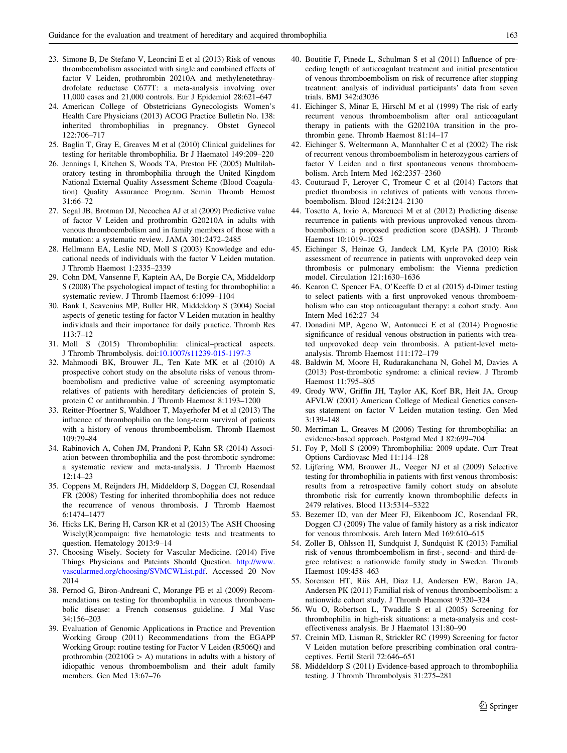- <span id="page-10-0"></span>23. Simone B, De Stefano V, Leoncini E et al (2013) Risk of venous thromboembolism associated with single and combined effects of factor V Leiden, prothrombin 20210A and methylenetethraydrofolate reductase C677T: a meta-analysis involving over 11,000 cases and 21,000 controls. Eur J Epidemiol 28:621–647
- 24. American College of Obstetricians Gynecologists Women's Health Care Physicians (2013) ACOG Practice Bulletin No. 138: inherited thrombophilias in pregnancy. Obstet Gynecol 122:706–717
- 25. Baglin T, Gray E, Greaves M et al (2010) Clinical guidelines for testing for heritable thrombophilia. Br J Haematol 149:209–220
- 26. Jennings I, Kitchen S, Woods TA, Preston FE (2005) Multilaboratory testing in thrombophilia through the United Kingdom National External Quality Assessment Scheme (Blood Coagulation) Quality Assurance Program. Semin Thromb Hemost  $31.66 - 72$
- 27. Segal JB, Brotman DJ, Necochea AJ et al (2009) Predictive value of factor V Leiden and prothrombin G20210A in adults with venous thromboembolism and in family members of those with a mutation: a systematic review. JAMA 301:2472–2485
- 28. Hellmann EA, Leslie ND, Moll S (2003) Knowledge and educational needs of individuals with the factor V Leiden mutation. J Thromb Haemost 1:2335–2339
- 29. Cohn DM, Vansenne F, Kaptein AA, De Borgie CA, Middeldorp S (2008) The psychological impact of testing for thrombophilia: a systematic review. J Thromb Haemost 6:1099–1104
- 30. Bank I, Scavenius MP, Buller HR, Middeldorp S (2004) Social aspects of genetic testing for factor V Leiden mutation in healthy individuals and their importance for daily practice. Thromb Res 113:7–12
- 31. Moll S (2015) Thrombophilia: clinical–practical aspects. J Thromb Thrombolysis. doi[:10.1007/s11239-015-1197-3](http://dx.doi.org/10.1007/s11239-015-1197-3)
- 32. Mahmoodi BK, Brouwer JL, Ten Kate MK et al (2010) A prospective cohort study on the absolute risks of venous thromboembolism and predictive value of screening asymptomatic relatives of patients with hereditary deficiencies of protein S, protein C or antithrombin. J Thromb Haemost 8:1193–1200
- 33. Reitter-Pfoertner S, Waldhoer T, Mayerhofer M et al (2013) The influence of thrombophilia on the long-term survival of patients with a history of venous thromboembolism. Thromb Haemost 109:79–84
- 34. Rabinovich A, Cohen JM, Prandoni P, Kahn SR (2014) Association between thrombophilia and the post-thrombotic syndrome: a systematic review and meta-analysis. J Thromb Haemost 12:14–23
- 35. Coppens M, Reijnders JH, Middeldorp S, Doggen CJ, Rosendaal FR (2008) Testing for inherited thrombophilia does not reduce the recurrence of venous thrombosis. J Thromb Haemost 6:1474–1477
- 36. Hicks LK, Bering H, Carson KR et al (2013) The ASH Choosing Wisely(R)campaign: five hematologic tests and treatments to question. Hematology 2013:9–14
- 37. Choosing Wisely. Society for Vascular Medicine. (2014) Five Things Physicians and Pateints Should Question. [http://www.](http://www.vascularmed.org/choosing/SVMCWList.pdf) [vascularmed.org/choosing/SVMCWList.pdf.](http://www.vascularmed.org/choosing/SVMCWList.pdf) Accessed 20 Nov 2014
- 38. Pernod G, Biron-Andreani C, Morange PE et al (2009) Recommendations on testing for thrombophilia in venous thromboembolic disease: a French consensus guideline. J Mal Vasc 34:156–203
- 39. Evaluation of Genomic Applications in Practice and Prevention Working Group (2011) Recommendations from the EGAPP Working Group: routine testing for Factor V Leiden (R506Q) and prothrombin (20210 $G > A$ ) mutations in adults with a history of idiopathic venous thromboembolism and their adult family members. Gen Med 13:67–76
- 40. Boutitie F, Pinede L, Schulman S et al (2011) Influence of preceding length of anticoagulant treatment and initial presentation of venous thromboembolism on risk of recurrence after stopping treatment: analysis of individual participants' data from seven trials. BMJ 342:d3036
- 41. Eichinger S, Minar E, Hirschl M et al (1999) The risk of early recurrent venous thromboembolism after oral anticoagulant therapy in patients with the G20210A transition in the prothrombin gene. Thromb Haemost 81:14–17
- 42. Eichinger S, Weltermann A, Mannhalter C et al (2002) The risk of recurrent venous thromboembolism in heterozygous carriers of factor V Leiden and a first spontaneous venous thromboembolism. Arch Intern Med 162:2357–2360
- 43. Couturaud F, Leroyer C, Tromeur C et al (2014) Factors that predict thrombosis in relatives of patients with venous thromboembolism. Blood 124:2124–2130
- 44. Tosetto A, Iorio A, Marcucci M et al (2012) Predicting disease recurrence in patients with previous unprovoked venous thromboembolism: a proposed prediction score (DASH). J Thromb Haemost 10:1019–1025
- 45. Eichinger S, Heinze G, Jandeck LM, Kyrle PA (2010) Risk assessment of recurrence in patients with unprovoked deep vein thrombosis or pulmonary embolism: the Vienna prediction model. Circulation 121:1630–1636
- 46. Kearon C, Spencer FA, O'Keeffe D et al (2015) d-Dimer testing to select patients with a first unprovoked venous thromboembolism who can stop anticoagulant therapy: a cohort study. Ann Intern Med 162:27–34
- 47. Donadini MP, Ageno W, Antonucci E et al (2014) Prognostic significance of residual venous obstruction in patients with treated unprovoked deep vein thrombosis. A patient-level metaanalysis. Thromb Haemost 111:172–179
- 48. Baldwin M, Moore H, Rudarakanchana N, Gohel M, Davies A (2013) Post-thrombotic syndrome: a clinical review. J Thromb Haemost 11:795–805
- 49. Grody WW, Griffin JH, Taylor AK, Korf BR, Heit JA, Group AFVLW (2001) American College of Medical Genetics consensus statement on factor V Leiden mutation testing. Gen Med 3:139–148
- 50. Merriman L, Greaves M (2006) Testing for thrombophilia: an evidence-based approach. Postgrad Med J 82:699–704
- 51. Foy P, Moll S (2009) Thrombophilia: 2009 update. Curr Treat Options Cardiovasc Med 11:114–128
- 52. Lijfering WM, Brouwer JL, Veeger NJ et al (2009) Selective testing for thrombophilia in patients with first venous thrombosis: results from a retrospective family cohort study on absolute thrombotic risk for currently known thrombophilic defects in 2479 relatives. Blood 113:5314–5322
- 53. Bezemer ID, van der Meer FJ, Eikenboom JC, Rosendaal FR, Doggen CJ (2009) The value of family history as a risk indicator for venous thrombosis. Arch Intern Med 169:610–615
- 54. Zoller B, Ohlsson H, Sundquist J, Sundquist K (2013) Familial risk of venous thromboembolism in first-, second- and third-degree relatives: a nationwide family study in Sweden. Thromb Haemost 109:458–463
- 55. Sorensen HT, Riis AH, Diaz LJ, Andersen EW, Baron JA, Andersen PK (2011) Familial risk of venous thromboembolism: a nationwide cohort study. J Thromb Haemost 9:320–324
- 56. Wu O, Robertson L, Twaddle S et al (2005) Screening for thrombophilia in high-risk situations: a meta-analysis and costeffectiveness analysis. Br J Haematol 131:80–90
- 57. Creinin MD, Lisman R, Strickler RC (1999) Screening for factor V Leiden mutation before prescribing combination oral contraceptives. Fertil Steril 72:646–651
- 58. Middeldorp S (2011) Evidence-based approach to thrombophilia testing. J Thromb Thrombolysis 31:275-281